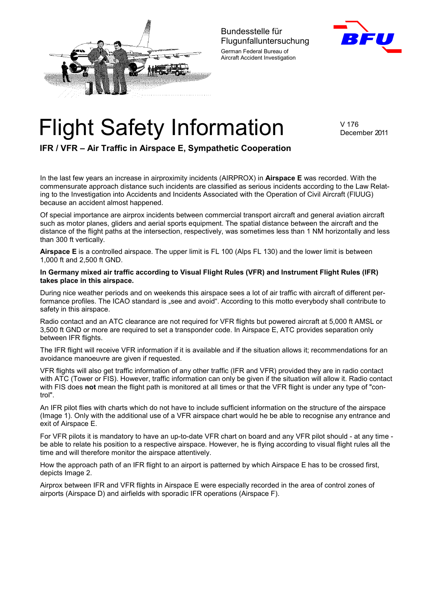



## Flight Safety Information MATOS

December 2011

## **IFR / VFR – Air Traffic in Airspace E, Sympathetic Cooperation**

In the last few years an increase in airproximity incidents (AIRPROX) in **Airspace E** was recorded. With the commensurate approach distance such incidents are classified as serious incidents according to the Law Relating to the Investigation into Accidents and Incidents Associated with the Operation of Civil Aircraft (FlUUG) because an accident almost happened.

Of special importance are airprox incidents between commercial transport aircraft and general aviation aircraft such as motor planes, gliders and aerial sports equipment. The spatial distance between the aircraft and the distance of the flight paths at the intersection, respectively, was sometimes less than 1 NM horizontally and less than 300 ft vertically.

**Airspace E** is a controlled airspace. The upper limit is FL 100 (Alps FL 130) and the lower limit is between 1,000 ft and 2,500 ft GND.

**In Germany mixed air traffic according to Visual Flight Rules (VFR) and Instrument Flight Rules (IFR) takes place in this airspace.**

During nice weather periods and on weekends this airspace sees a lot of air traffic with aircraft of different performance profiles. The ICAO standard is "see and avoid". According to this motto everybody shall contribute to safety in this airspace.

Radio contact and an ATC clearance are not required for VFR flights but powered aircraft at 5,000 ft AMSL or 3,500 ft GND or more are required to set a transponder code. In Airspace E, ATC provides separation only between IFR flights.

The IFR flight will receive VFR information if it is available and if the situation allows it; recommendations for an avoidance manoeuvre are given if requested.

VFR flights will also get traffic information of any other traffic (IFR and VFR) provided they are in radio contact with ATC (Tower or FIS). However, traffic information can only be given if the situation will allow it. Radio contact with FIS does **not** mean the flight path is monitored at all times or that the VFR flight is under any type of "control".

An IFR pilot flies with charts which do not have to include sufficient information on the structure of the airspace (Image 1). Only with the additional use of a VFR airspace chart would he be able to recognise any entrance and exit of Airspace E.

For VFR pilots it is mandatory to have an up-to-date VFR chart on board and any VFR pilot should - at any time be able to relate his position to a respective airspace. However, he is flying according to visual flight rules all the time and will therefore monitor the airspace attentively.

How the approach path of an IFR flight to an airport is patterned by which Airspace E has to be crossed first, depicts Image 2.

Airprox between IFR and VFR flights in Airspace E were especially recorded in the area of control zones of airports (Airspace D) and airfields with sporadic IFR operations (Airspace F).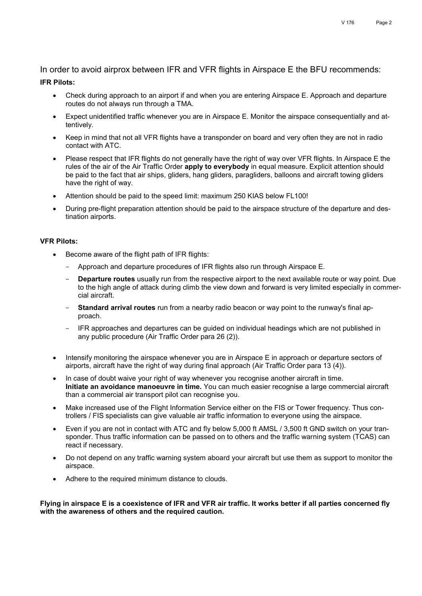In order to avoid airprox between IFR and VFR flights in Airspace E the BFU recommends: **IFR Pilots:** 

- Check during approach to an airport if and when you are entering Airspace E. Approach and departure routes do not always run through a TMA.
- Expect unidentified traffic whenever you are in Airspace E. Monitor the airspace consequentially and attentively.
- Keep in mind that not all VFR flights have a transponder on board and very often they are not in radio contact with ATC.
- Please respect that IFR flights do not generally have the right of way over VFR flights. In Airspace E the rules of the air of the Air Traffic Order **apply to everybody** in equal measure. Explicit attention should be paid to the fact that air ships, gliders, hang gliders, paragliders, balloons and aircraft towing gliders have the right of way.
- Attention should be paid to the speed limit: maximum 250 KIAS below FL100!
- During pre-flight preparation attention should be paid to the airspace structure of the departure and destination airports.

## **VFR Pilots:**

- Become aware of the flight path of IFR flights:
	- Approach and departure procedures of IFR flights also run through Airspace E.
	- **Departure routes** usually run from the respective airport to the next available route or way point. Due to the high angle of attack during climb the view down and forward is very limited especially in commercial aircraft.
	- **Standard arrival routes** run from a nearby radio beacon or way point to the runway's final approach.
	- IFR approaches and departures can be guided on individual headings which are not published in any public procedure (Air Traffic Order para 26 (2)).
- Intensify monitoring the airspace whenever you are in Airspace E in approach or departure sectors of airports, aircraft have the right of way during final approach (Air Traffic Order para 13 (4)).
- In case of doubt waive your right of way whenever you recognise another aircraft in time. **Initiate an avoidance manoeuvre in time.** You can much easier recognise a large commercial aircraft than a commercial air transport pilot can recognise you.
- Make increased use of the Flight Information Service either on the FIS or Tower frequency. Thus controllers / FIS specialists can give valuable air traffic information to everyone using the airspace.
- Even if you are not in contact with ATC and fly below 5,000 ft AMSL / 3,500 ft GND switch on your transponder. Thus traffic information can be passed on to others and the traffic warning system (TCAS) can react if necessary.
- Do not depend on any traffic warning system aboard your aircraft but use them as support to monitor the airspace.
- Adhere to the required minimum distance to clouds.

**Flying in airspace E is a coexistence of IFR and VFR air traffic. It works better if all parties concerned fly with the awareness of others and the required caution.**